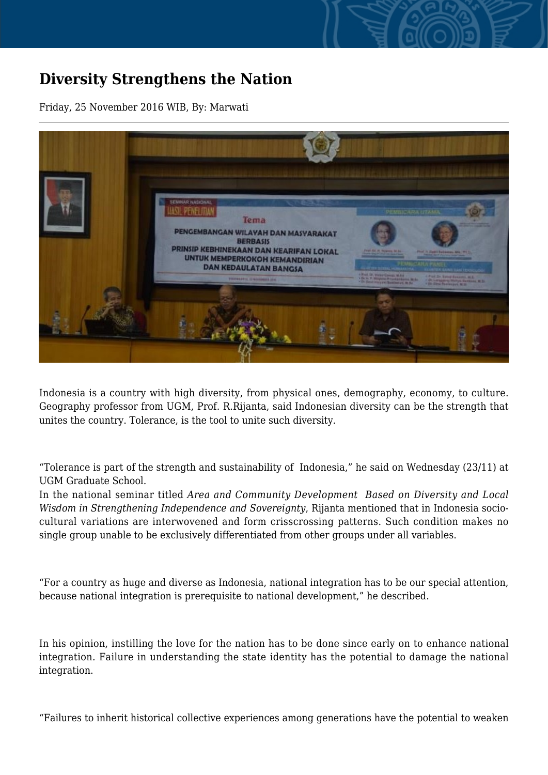## **Diversity Strengthens the Nation**

Friday, 25 November 2016 WIB, By: Marwati



Indonesia is a country with high diversity, from physical ones, demography, economy, to culture. Geography professor from UGM, Prof. R.Rijanta, said Indonesian diversity can be the strength that unites the country. Tolerance, is the tool to unite such diversity.

"Tolerance is part of the strength and sustainability of Indonesia," he said on Wednesday (23/11) at UGM Graduate School.

In the national seminar titled *Area and Community Development Based on Diversity and Local Wisdom in Strengthening Independence and Sovereignty*, Rijanta mentioned that in Indonesia sociocultural variations are interwovened and form crisscrossing patterns. Such condition makes no single group unable to be exclusively differentiated from other groups under all variables.

"For a country as huge and diverse as Indonesia, national integration has to be our special attention, because national integration is prerequisite to national development," he described.

In his opinion, instilling the love for the nation has to be done since early on to enhance national integration. Failure in understanding the state identity has the potential to damage the national integration.

"Failures to inherit historical collective experiences among generations have the potential to weaken